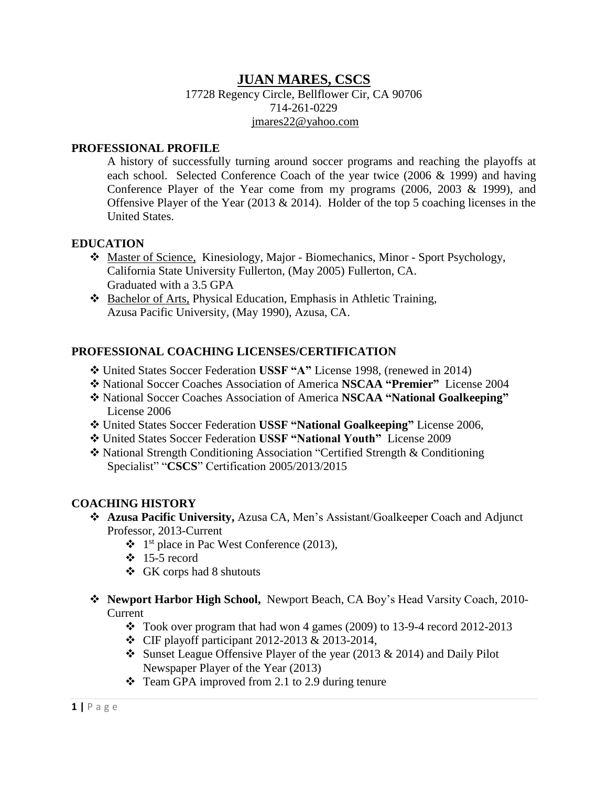## **JUAN MARES, CSCS**

17728 Regency Circle, Bellflower Cir, CA 90706 714-261-0229 [jmares22@yahoo.com](mailto:jmares22@yahoo.com)

#### **PROFESSIONAL PROFILE**

A history of successfully turning around soccer programs and reaching the playoffs at each school. Selected Conference Coach of the year twice (2006 & 1999) and having Conference Player of the Year come from my programs (2006, 2003 & 1999), and Offensive Player of the Year (2013  $& 2014$ ). Holder of the top 5 coaching licenses in the United States.

### **EDUCATION**

- Master of Science, Kinesiology, Major Biomechanics, Minor Sport Psychology, California State University Fullerton, (May 2005) Fullerton, CA. Graduated with a 3.5 GPA
- Bachelor of Arts, Physical Education, Emphasis in Athletic Training, Azusa Pacific University, (May 1990), Azusa, CA.

### **PROFESSIONAL COACHING LICENSES/CERTIFICATION**

- United States Soccer Federation **USSF "A"** License 1998, (renewed in 2014)
- National Soccer Coaches Association of America **NSCAA "Premier"** License 2004
- National Soccer Coaches Association of America **NSCAA "National Goalkeeping"** License 2006
- United States Soccer Federation **USSF "National Goalkeeping"** License 2006,
- United States Soccer Federation **USSF "National Youth"** License 2009
- National Strength Conditioning Association "Certified Strength & Conditioning Specialist" "**CSCS**" Certification 2005/2013/2015

### **COACHING HISTORY**

- **Azusa Pacific University,** Azusa CA, Men's Assistant/Goalkeeper Coach and Adjunct Professor, 2013-Current
	- 1 st place in Pac West Conference (2013),
	- $\div$  15-5 record
	- GK corps had 8 shutouts
- **Newport Harbor High School,** Newport Beach, CA Boy's Head Varsity Coach, 2010- Current
	- $\div$  Took over program that had won 4 games (2009) to 13-9-4 record 2012-2013
	- CIF playoff participant 2012-2013 & 2013-2014,
	- Sunset League Offensive Player of the year (2013  $& 2014$ ) and Daily Pilot Newspaper Player of the Year (2013)
	- $\div$  Team GPA improved from 2.1 to 2.9 during tenure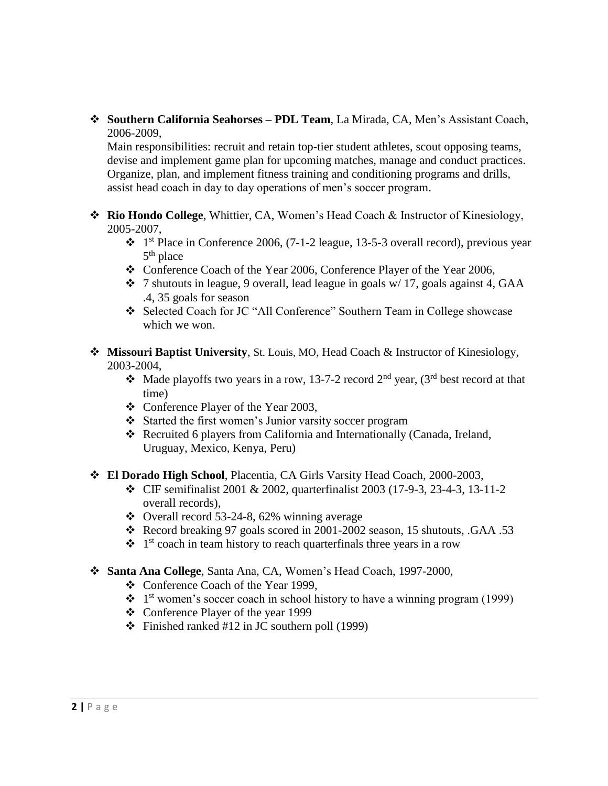**Southern California Seahorses – PDL Team**, La Mirada, CA, Men's Assistant Coach, 2006-2009,

Main responsibilities: recruit and retain top-tier student athletes, scout opposing teams, devise and implement game plan for upcoming matches, manage and conduct practices. Organize, plan, and implement fitness training and conditioning programs and drills, assist head coach in day to day operations of men's soccer program.

- **Rio Hondo College**, Whittier, CA, Women's Head Coach & Instructor of Kinesiology, 2005-2007,
	- $\cdot \cdot$  1<sup>st</sup> Place in Conference 2006, (7-1-2 league, 13-5-3 overall record), previous year 5<sup>th</sup> place
	- \* Conference Coach of the Year 2006, Conference Player of the Year 2006,
	- $\div$  7 shutouts in league, 9 overall, lead league in goals w/ 17, goals against 4, GAA .4, 35 goals for season
	- Selected Coach for JC "All Conference" Southern Team in College showcase which we won.
- **Missouri Baptist University**, St. Louis, MO, Head Coach & Instructor of Kinesiology, 2003-2004,
	- Made playoffs two years in a row, 13-7-2 record  $2<sup>nd</sup>$  year, (3<sup>rd</sup> best record at that time)
	- Conference Player of the Year 2003,
	- Started the first women's Junior varsity soccer program
	- Recruited 6 players from California and Internationally (Canada, Ireland, Uruguay, Mexico, Kenya, Peru)
- **El Dorado High School**, Placentia, CA Girls Varsity Head Coach, 2000-2003,
	- CIF semifinalist 2001 & 2002, quarterfinalist 2003 (17-9-3, 23-4-3, 13-11-2 overall records),
	- $\bullet$  Overall record 53-24-8, 62% winning average
	- \* Record breaking 97 goals scored in 2001-2002 season, 15 shutouts, .GAA .53
	- $\cdot \cdot$  1<sup>st</sup> coach in team history to reach quarterfinals three years in a row
- **Santa Ana College**, Santa Ana, CA, Women's Head Coach, 1997-2000,
	- Conference Coach of the Year 1999,
	- $\cdot \cdot$  1<sup>st</sup> women's soccer coach in school history to have a winning program (1999)
	- Conference Player of the year 1999
	- $\div$  Finished ranked #12 in JC southern poll (1999)